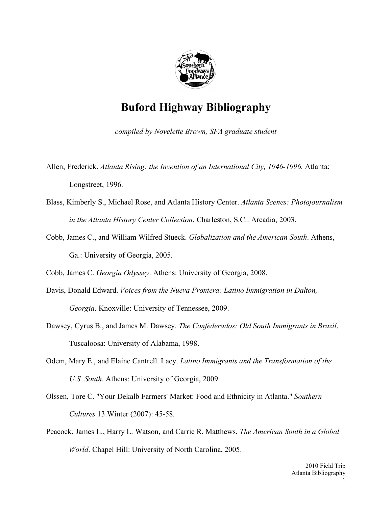

## **Buford Highway Bibliography**

*compiled by Novelette Brown, SFA graduate student*

Allen, Frederick. *Atlanta Rising: the Invention of an International City, 1946-1996*. Atlanta: Longstreet, 1996.

- Blass, Kimberly S., Michael Rose, and Atlanta History Center. *Atlanta Scenes: Photojournalism in the Atlanta History Center Collection*. Charleston, S.C.: Arcadia, 2003.
- Cobb, James C., and William Wilfred Stueck. *Globalization and the American South*. Athens, Ga.: University of Georgia, 2005.

Cobb, James C. *Georgia Odyssey*. Athens: University of Georgia, 2008.

- Davis, Donald Edward. *Voices from the Nueva Frontera: Latino Immigration in Dalton, Georgia*. Knoxville: University of Tennessee, 2009.
- Dawsey, Cyrus B., and James M. Dawsey. *The Confederados: Old South Immigrants in Brazil*. Tuscaloosa: University of Alabama, 1998.
- Odem, Mary E., and Elaine Cantrell. Lacy. *Latino Immigrants and the Transformation of the U.S. South*. Athens: University of Georgia, 2009.
- Olssen, Tore C. "Your Dekalb Farmers' Market: Food and Ethnicity in Atlanta." *Southern Cultures* 13.Winter (2007): 45-58.
- Peacock, James L., Harry L. Watson, and Carrie R. Matthews. *The American South in a Global World*. Chapel Hill: University of North Carolina, 2005.